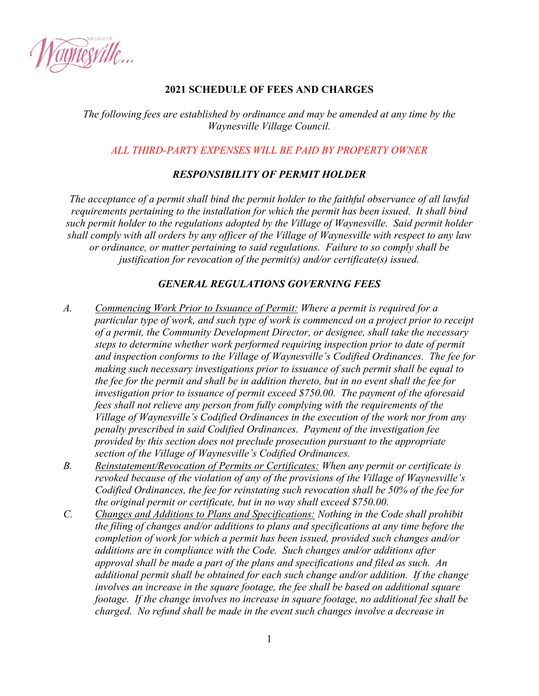

## **2021 SCHEDULE OF FEES AND CHARGES**

*The following fees are established by ordinance and may be amended at any time by the Waynesville Village Council.* 

## *ALL THIRD-PARTY EXPENSES WILL BE PAID BY PROPERTY OWNER*

## *RESPONSIBILITY OF PERMIT HOLDER*

*The acceptance of a permit shall bind the permit holder to the faithful observance of all lawful requirements pertaining to the installation for which the permit has been issued. It shall bind such permit holder to the regulations adopted by the Village of Waynesville. Said permit holder shall comply with all orders by any officer of the Village of Waynesville with respect to any law or ordinance, or matter pertaining to said regulations. Failure to so comply shall be justification for revocation of the permit(s) and/or certificate(s) issued.* 

## *GENERAL REGULATIONS GOVERNING FEES*

- *A. Commencing Work Prior to Issuance of Permit: Where a permit is required for a particular type of work, and such type of work is commenced on a project prior to receipt of a permit, the Community Development Director, or designee, shall take the necessary steps to determine whether work performed requiring inspection prior to date of permit and inspection conforms to the Village of Waynesville's Codified Ordinances. The fee for making such necessary investigations prior to issuance of such permit shall be equal to the fee for the permit and shall be in addition thereto, but in no event shall the fee for investigation prior to issuance of permit exceed \$750.00. The payment of the aforesaid fees shall not relieve any person from fully complying with the requirements of the Village of Waynesville's Codified Ordinances in the execution of the work nor from any penalty prescribed in said Codified Ordinances. Payment of the investigation fee provided by this section does not preclude prosecution pursuant to the appropriate section of the Village of Waynesville's Codified Ordinances.*
- *B. Reinstatement/Revocation of Permits or Certificates: When any permit or certificate is revoked because of the violation of any of the provisions of the Village of Waynesville's Codified Ordinances, the fee for reinstating such revocation shall be 50% of the fee for the original permit or certificate, but in no way shall exceed \$750.00.*
- *C. Changes and Additions to Plans and Specifications: Nothing in the Code shall prohibit the filing of changes and/or additions to plans and specifications at any time before the completion of work for which a permit has been issued, provided such changes and/or additions are in compliance with the Code. Such changes and/or additions after approval shall be made a part of the plans and specifications and filed as such. An additional permit shall be obtained for each such change and/or addition. If the change involves an increase in the square footage, the fee shall be based on additional square footage. If the change involves no increase in square footage, no additional fee shall be charged. No refund shall be made in the event such changes involve a decrease in*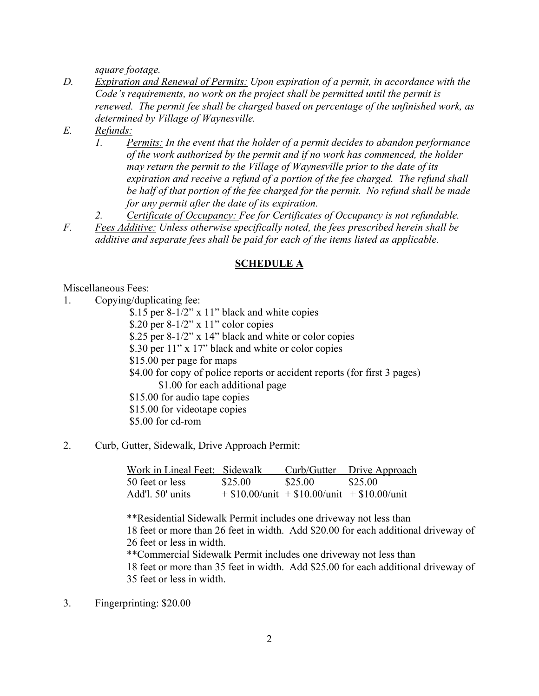*square footage.* 

- *D. Expiration and Renewal of Permits: Upon expiration of a permit, in accordance with the Code's requirements, no work on the project shall be permitted until the permit is renewed. The permit fee shall be charged based on percentage of the unfinished work, as determined by Village of Waynesville.*
- *E. Refunds:* 
	- *1. Permits: In the event that the holder of a permit decides to abandon performance of the work authorized by the permit and if no work has commenced, the holder may return the permit to the Village of Waynesville prior to the date of its expiration and receive a refund of a portion of the fee charged. The refund shall be half of that portion of the fee charged for the permit. No refund shall be made for any permit after the date of its expiration.*
	- *2. Certificate of Occupancy: Fee for Certificates of Occupancy is not refundable.*
- *F. Fees Additive: Unless otherwise specifically noted, the fees prescribed herein shall be additive and separate fees shall be paid for each of the items listed as applicable.*

#### **SCHEDULE A**

Miscellaneous Fees:

1. Copying/duplicating fee:

 \$.15 per 8-1/2" x 11" black and white copies \$.20 per  $8-1/2$ " x  $11$ " color copies \$.25 per 8-1/2" x 14" black and white or color copies \$.30 per 11" x 17" black and white or color copies \$15.00 per page for maps \$4.00 for copy of police reports or accident reports (for first 3 pages) \$1.00 for each additional page \$15.00 for audio tape copies \$15.00 for videotape copies \$5.00 for cd-rom

2. Curb, Gutter, Sidewalk, Drive Approach Permit:

| Work in Lineal Feet: Sidewalk |         |         | Curb/Gutter Drive Approach                     |
|-------------------------------|---------|---------|------------------------------------------------|
| 50 feet or less               | \$25.00 | \$25.00 | \$25.00                                        |
| Add'l. 50' units              |         |         | $+$ \$10.00/unit + \$10.00/unit + \$10.00/unit |

\*\*Residential Sidewalk Permit includes one driveway not less than 18 feet or more than 26 feet in width. Add \$20.00 for each additional driveway of 26 feet or less in width. \*\*Commercial Sidewalk Permit includes one driveway not less than

18 feet or more than 35 feet in width. Add \$25.00 for each additional driveway of 35 feet or less in width.

3. Fingerprinting: \$20.00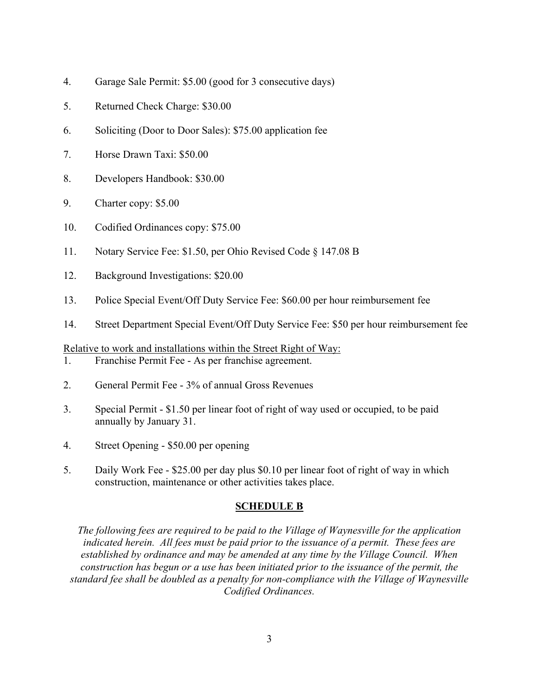- 4. Garage Sale Permit: \$5.00 (good for 3 consecutive days)
- 5. Returned Check Charge: \$30.00
- 6. Soliciting (Door to Door Sales): \$75.00 application fee
- 7. Horse Drawn Taxi: \$50.00
- 8. Developers Handbook: \$30.00
- 9. Charter copy: \$5.00
- 10. Codified Ordinances copy: \$75.00
- 11. Notary Service Fee: \$1.50, per Ohio Revised Code § 147.08 B
- 12. Background Investigations: \$20.00
- 13. Police Special Event/Off Duty Service Fee: \$60.00 per hour reimbursement fee
- 14. Street Department Special Event/Off Duty Service Fee: \$50 per hour reimbursement fee

Relative to work and installations within the Street Right of Way:

- 1. Franchise Permit Fee As per franchise agreement.
- 2. General Permit Fee 3% of annual Gross Revenues
- 3. Special Permit \$1.50 per linear foot of right of way used or occupied, to be paid annually by January 31.
- 4. Street Opening \$50.00 per opening
- 5. Daily Work Fee \$25.00 per day plus \$0.10 per linear foot of right of way in which construction, maintenance or other activities takes place.

## **SCHEDULE B**

*The following fees are required to be paid to the Village of Waynesville for the application indicated herein. All fees must be paid prior to the issuance of a permit. These fees are established by ordinance and may be amended at any time by the Village Council. When construction has begun or a use has been initiated prior to the issuance of the permit, the standard fee shall be doubled as a penalty for non-compliance with the Village of Waynesville Codified Ordinances.*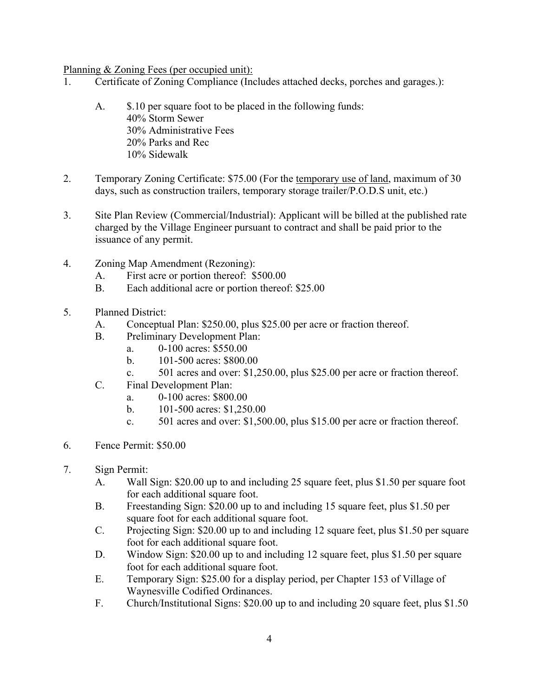Planning & Zoning Fees (per occupied unit):

- 1. Certificate of Zoning Compliance (Includes attached decks, porches and garages.):
	- A.  $\$\,10$  per square foot to be placed in the following funds: 40% Storm Sewer 30% Administrative Fees 20% Parks and Rec 10% Sidewalk
- 2. Temporary Zoning Certificate: \$75.00 (For the temporary use of land, maximum of 30 days, such as construction trailers, temporary storage trailer/P.O.D.S unit, etc.)
- 3. Site Plan Review (Commercial/Industrial): Applicant will be billed at the published rate charged by the Village Engineer pursuant to contract and shall be paid prior to the issuance of any permit.
- 4. Zoning Map Amendment (Rezoning):
	- A. First acre or portion thereof: \$500.00
	- B. Each additional acre or portion thereof: \$25.00
- 5. Planned District:
	- A. Conceptual Plan: \$250.00, plus \$25.00 per acre or fraction thereof.
	- B. Preliminary Development Plan:
		- a. 0-100 acres: \$550.00
		- b. 101-500 acres: \$800.00
		- c. 501 acres and over: \$1,250.00, plus \$25.00 per acre or fraction thereof.
	- C. Final Development Plan:
		- a. 0-100 acres: \$800.00
		- b. 101-500 acres: \$1,250.00
		- c. 501 acres and over: \$1,500.00, plus \$15.00 per acre or fraction thereof.
- 6. Fence Permit: \$50.00
- 7. Sign Permit:
	- A. Wall Sign: \$20.00 up to and including 25 square feet, plus \$1.50 per square foot for each additional square foot.
	- B. Freestanding Sign: \$20.00 up to and including 15 square feet, plus \$1.50 per square foot for each additional square foot.
	- C. Projecting Sign: \$20.00 up to and including 12 square feet, plus \$1.50 per square foot for each additional square foot.
	- D. Window Sign: \$20.00 up to and including 12 square feet, plus \$1.50 per square foot for each additional square foot.
	- E. Temporary Sign: \$25.00 for a display period, per Chapter 153 of Village of Waynesville Codified Ordinances.
	- F. Church/Institutional Signs: \$20.00 up to and including 20 square feet, plus \$1.50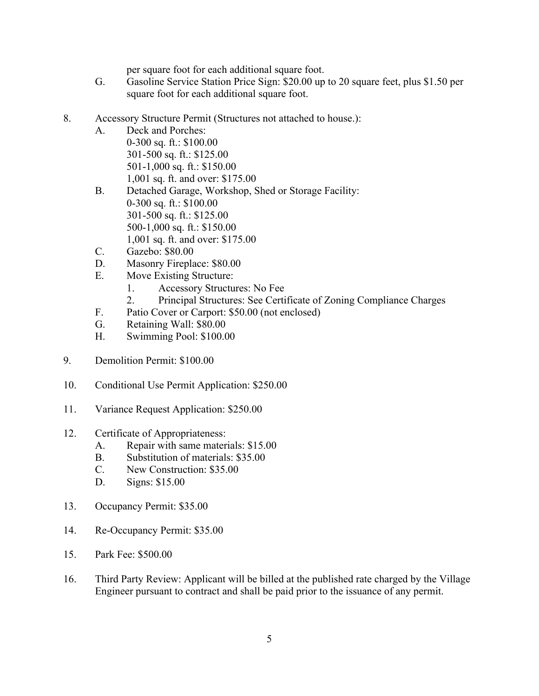per square foot for each additional square foot.

- G. Gasoline Service Station Price Sign: \$20.00 up to 20 square feet, plus \$1.50 per square foot for each additional square foot.
- 8. Accessory Structure Permit (Structures not attached to house.):
	- A. Deck and Porches: 0-300 sq. ft.: \$100.00 301-500 sq. ft.: \$125.00 501-1,000 sq. ft.: \$150.00 1,001 sq. ft. and over: \$175.00
	- B. Detached Garage, Workshop, Shed or Storage Facility: 0-300 sq. ft.: \$100.00 301-500 sq. ft.: \$125.00 500-1,000 sq. ft.: \$150.00 1,001 sq. ft. and over: \$175.00
	- C. Gazebo: \$80.00
	- D. Masonry Fireplace: \$80.00
	- E. Move Existing Structure:
		- 1. Accessory Structures: No Fee
		- 2. Principal Structures: See Certificate of Zoning Compliance Charges
	- F. Patio Cover or Carport: \$50.00 (not enclosed)
	- G. Retaining Wall: \$80.00
	- H. Swimming Pool: \$100.00
- 9. Demolition Permit: \$100.00
- 10. Conditional Use Permit Application: \$250.00
- 11. Variance Request Application: \$250.00
- 12. Certificate of Appropriateness:
	- A. Repair with same materials: \$15.00
	- B. Substitution of materials: \$35.00
	- C. New Construction: \$35.00
	- D. Signs: \$15.00
- 13. Occupancy Permit: \$35.00
- 14. Re-Occupancy Permit: \$35.00
- 15. Park Fee: \$500.00
- 16. Third Party Review: Applicant will be billed at the published rate charged by the Village Engineer pursuant to contract and shall be paid prior to the issuance of any permit.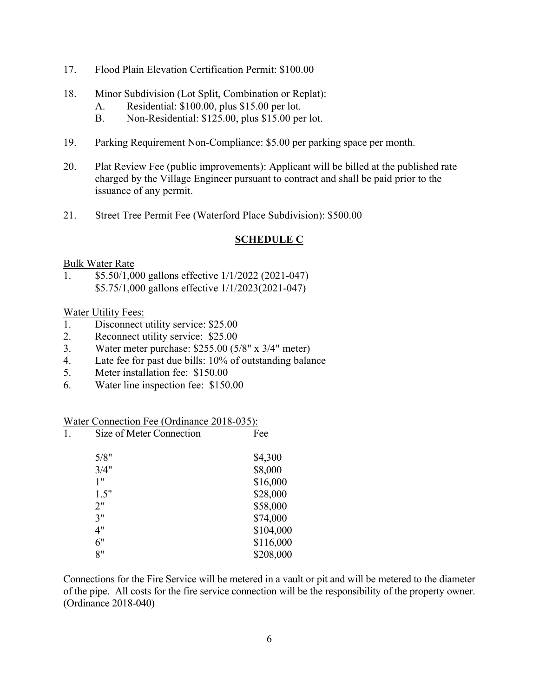- 17. Flood Plain Elevation Certification Permit: \$100.00
- 18. Minor Subdivision (Lot Split, Combination or Replat):
	- A. Residential: \$100.00, plus \$15.00 per lot.
	- B. Non-Residential: \$125.00, plus \$15.00 per lot.
- 19. Parking Requirement Non-Compliance: \$5.00 per parking space per month.
- 20. Plat Review Fee (public improvements): Applicant will be billed at the published rate charged by the Village Engineer pursuant to contract and shall be paid prior to the issuance of any permit.
- 21. Street Tree Permit Fee (Waterford Place Subdivision): \$500.00

## **SCHEDULE C**

#### Bulk Water Rate

1. \$5.50/1,000 gallons effective 1/1/2022 (2021-047) \$5.75/1,000 gallons effective 1/1/2023(2021-047)

#### Water Utility Fees:

- 1. Disconnect utility service: \$25.00
- 2. Reconnect utility service: \$25.00
- 3. Water meter purchase: \$255.00 (5/8" x 3/4" meter)
- 4. Late fee for past due bills: 10% of outstanding balance
- 5. Meter installation fee: \$150.00
- 6. Water line inspection fee: \$150.00

#### Water Connection Fee (Ordinance 2018-035):

| 1. | Size of Meter Connection | Fee       |
|----|--------------------------|-----------|
|    | 5/8"                     | \$4,300   |
|    | 3/4"                     | \$8,000   |
|    | 1"                       | \$16,000  |
|    | 1.5"                     | \$28,000  |
|    | 2"                       | \$58,000  |
|    | 3"                       | \$74,000  |
|    | 4"                       | \$104,000 |
|    | 6"                       | \$116,000 |
|    | 8"                       | \$208,000 |
|    |                          |           |

Connections for the Fire Service will be metered in a vault or pit and will be metered to the diameter of the pipe. All costs for the fire service connection will be the responsibility of the property owner. (Ordinance 2018-040)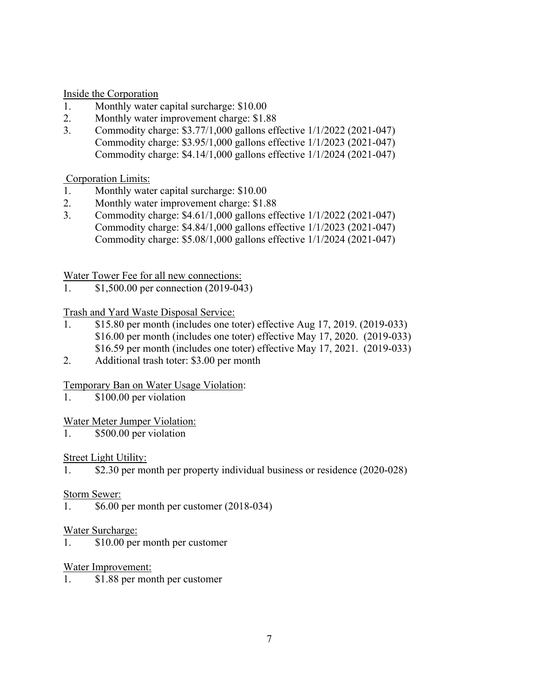Inside the Corporation

- 1. Monthly water capital surcharge: \$10.00
- 2. Monthly water improvement charge: \$1.88
- 3. Commodity charge: \$3.77/1,000 gallons effective 1/1/2022 (2021-047) Commodity charge: \$3.95/1,000 gallons effective 1/1/2023 (2021-047) Commodity charge: \$4.14/1,000 gallons effective 1/1/2024 (2021-047)

Corporation Limits:

- 1. Monthly water capital surcharge: \$10.00
- 2. Monthly water improvement charge: \$1.88
- 3. Commodity charge: \$4.61/1,000 gallons effective 1/1/2022 (2021-047) Commodity charge: \$4.84/1,000 gallons effective 1/1/2023 (2021-047) Commodity charge: \$5.08/1,000 gallons effective 1/1/2024 (2021-047)

Water Tower Fee for all new connections:

1. \$1,500.00 per connection (2019-043)

## Trash and Yard Waste Disposal Service:

- 1. \$15.80 per month (includes one toter) effective Aug 17, 2019. (2019-033) \$16.00 per month (includes one toter) effective May 17, 2020. (2019-033) \$16.59 per month (includes one toter) effective May 17, 2021. (2019-033)
- 2. Additional trash toter: \$3.00 per month

## Temporary Ban on Water Usage Violation:

1. \$100.00 per violation

## Water Meter Jumper Violation:

1. \$500.00 per violation

## Street Light Utility:

1. \$2.30 per month per property individual business or residence (2020-028)

## Storm Sewer:

1. \$6.00 per month per customer (2018-034)

## Water Surcharge:

1. \$10.00 per month per customer

## Water Improvement:

1. \$1.88 per month per customer